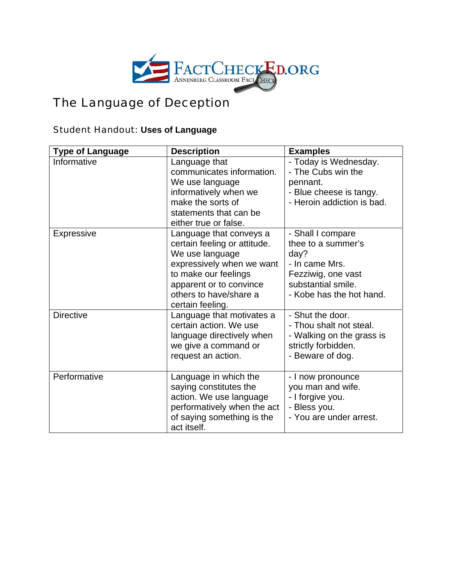

## The Language of Deception

## Student Handout: **Uses of Language**

| <b>Type of Language</b> | <b>Description</b>                                                                                                                                                                                       | <b>Examples</b>                                                                                                                           |
|-------------------------|----------------------------------------------------------------------------------------------------------------------------------------------------------------------------------------------------------|-------------------------------------------------------------------------------------------------------------------------------------------|
| Informative             | Language that<br>communicates information.<br>We use language<br>informatively when we<br>make the sorts of<br>statements that can be<br>either true or false.                                           | - Today is Wednesday.<br>- The Cubs win the<br>pennant.<br>- Blue cheese is tangy.<br>- Heroin addiction is bad.                          |
| <b>Expressive</b>       | Language that conveys a<br>certain feeling or attitude.<br>We use language<br>expressively when we want<br>to make our feelings<br>apparent or to convince<br>others to have/share a<br>certain feeling. | - Shall I compare<br>thee to a summer's<br>day?<br>- In came Mrs.<br>Fezziwig, one vast<br>substantial smile.<br>- Kobe has the hot hand. |
| <b>Directive</b>        | Language that motivates a<br>certain action. We use<br>language directively when<br>we give a command or<br>request an action.                                                                           | - Shut the door.<br>- Thou shalt not steal.<br>- Walking on the grass is<br>strictly forbidden.<br>- Beware of dog.                       |
| Performative            | Language in which the<br>saying constitutes the<br>action. We use language<br>performatively when the act<br>of saying something is the<br>act itself.                                                   | - I now pronounce<br>you man and wife.<br>- I forgive you.<br>- Bless you.<br>- You are under arrest.                                     |